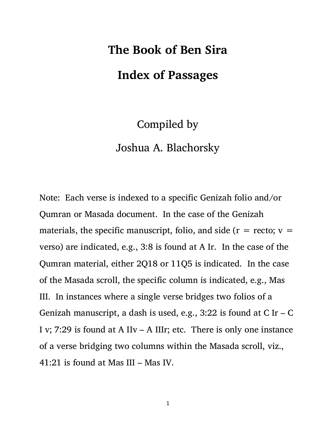## **The Book of Ben Sira**

## **Index of Passages**

## Compiled by Joshua A. Blachorsky

Note: Each verse is indexed to a specific Genizah folio and/or Qumran or Masada document. In the case of the Genizah materials, the specific manuscript, folio, and side ( $r =$  recto;  $v =$ verso) are indicated, e.g., 3:8 is found at A Ir. In the case of the Qumran material, either 2Q18 or 11Q5 is indicated. In the case of the Masada scroll, the specific column is indicated, e.g., Mas III. In instances where a single verse bridges two folios of a Genizah manuscript, a dash is used, e.g., 3:22 is found at  $C$  Ir –  $C$ I v; 7:29 is found at A IIv – A IIIr; etc. There is only one instance of a verse bridging two columns within the Masada scroll, viz., 41:21 is found at Mas III – Mas IV.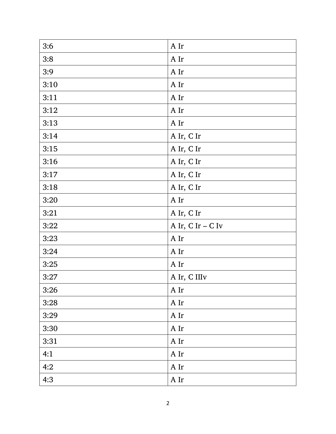| 3:6  | A Ir              |
|------|-------------------|
| 3:8  | A Ir              |
| 3:9  | A Ir              |
| 3:10 | A Ir              |
| 3:11 | A Ir              |
| 3:12 | A Ir              |
| 3:13 | A Ir              |
| 3:14 | A Ir, C Ir        |
| 3:15 | A Ir, C Ir        |
| 3:16 | A Ir, C Ir        |
| 3:17 | A Ir, C Ir        |
| 3:18 | A Ir, C Ir        |
| 3:20 | A Ir              |
| 3:21 | A Ir, C Ir        |
| 3:22 | A Ir, C Ir – C Iv |
| 3:23 | A Ir              |
| 3:24 | A Ir              |
| 3:25 | A Ir              |
| 3:27 | A Ir, C IIIv      |
| 3:26 | $\mathbf{A}$ Ir   |
| 3:28 | A Ir              |
| 3:29 | A Ir              |
| 3:30 | A Ir              |
| 3:31 | A Ir              |
| 4:1  | A Ir              |
| 4:2  | A Ir              |
| 4:3  | A Ir              |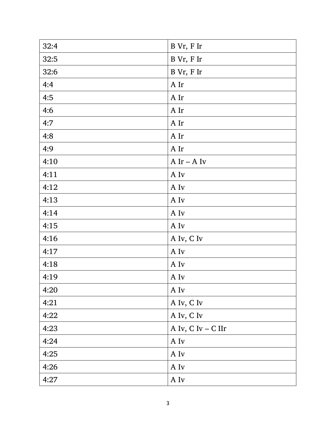| 32:4 | B Vr, F Ir         |
|------|--------------------|
| 32:5 | B Vr, F Ir         |
| 32:6 | B Vr, F Ir         |
| 4:4  | A Ir               |
| 4:5  | A Ir               |
| 4:6  | A Ir               |
| 4:7  | A Ir               |
| 4:8  | A Ir               |
| 4:9  | A Ir               |
| 4:10 | $A$ Ir – $A$ Iv    |
| 4:11 | A Iv               |
| 4:12 | A Iv               |
| 4:13 | A Iv               |
| 4:14 | A Iv               |
| 4:15 | A Iv               |
| 4:16 | A Iv, C Iv         |
| 4:17 | A Iv               |
| 4:18 | A Iv               |
| 4:19 | A Iv               |
| 4:20 | $\mathbf{A}$ Iv    |
| 4:21 | A Iv, C Iv         |
| 4:22 | A Iv, C Iv         |
| 4:23 | A Iv, C Iv - C IIr |
| 4:24 | A Iv               |
| 4:25 | A Iv               |
| 4:26 | A Iv               |
| 4:27 | A Iv               |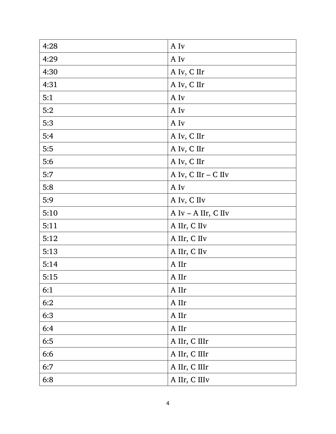| 4:28 | A Iv                  |
|------|-----------------------|
| 4:29 | A Iv                  |
| 4:30 | A Iv, C IIr           |
| 4:31 | A Iv, C IIr           |
| 5:1  | A Iv                  |
| 5:2  | A Iv                  |
| 5:3  | A Iv                  |
| 5:4  | A Iv, C IIr           |
| 5:5  | A Iv, C IIr           |
| 5:6  | A Iv, C IIr           |
| 5:7  | A Iv, C IIr - C IIv   |
| 5:8  | A Iv                  |
| 5:9  | A Iv, C IIv           |
| 5:10 | A $Iv - A$ IIr, C IIv |
| 5:11 | A IIr, C IIv          |
| 5:12 | A IIr, C IIv          |
| 5:13 | A IIr, C IIv          |
| 5:14 | A IIr                 |
| 5:15 | A IIr                 |
| 6:1  | A IIr                 |
| 6:2  | A IIr                 |
| 6:3  | A IIr                 |
| 6:4  | A IIr                 |
| 6:5  | A IIr, C IIIr         |
| 6:6  | A IIr, C IIIr         |
| 6:7  | A IIr, C IIIr         |
| 6:8  | A IIr, C IIIv         |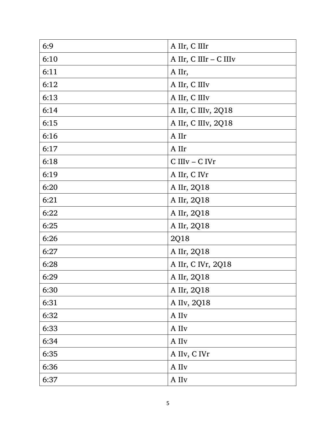| 6:9  | A IIr, C IIIr          |
|------|------------------------|
| 6:10 | A IIr, C IIIr - C IIIv |
| 6:11 | A IIr,                 |
| 6:12 | A IIr, C IIIv          |
| 6:13 | A IIr, C IIIv          |
| 6:14 | A IIr, C IIIv, 2Q18    |
| 6:15 | A IIr, C IIIv, 2Q18    |
| 6:16 | A IIr                  |
| 6:17 | A IIr                  |
| 6:18 | C IIIv – C IVr         |
| 6:19 | A IIr, C IVr           |
| 6:20 | A IIr, 2Q18            |
| 6:21 | A IIr, 2Q18            |
| 6:22 | A IIr, 2Q18            |
| 6:25 | A IIr, 2Q18            |
| 6:26 | 2Q18                   |
| 6:27 | A IIr, 2Q18            |
| 6:28 | A IIr, C IVr, 2Q18     |
| 6:29 | A IIr, 2Q18            |
| 6:30 | A IIr, 2Q18            |
| 6:31 | A IIv, 2Q18            |
| 6:32 | A IIv                  |
| 6:33 | $\mathbf A$ IIv        |
| 6:34 | A IIv                  |
| 6:35 | A IIv, C IVr           |
| 6:36 | A IIv                  |
| 6:37 | A IIv                  |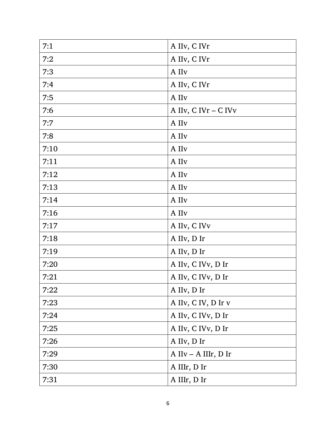| 7:1  | A IIv, C IVr         |
|------|----------------------|
| 7:2  | A IIv, C IVr         |
| 7:3  | A IIv                |
| 7:4  | A IIv, C IVr         |
| 7:5  | A IIv                |
| 7:6  | A IIv, C IVr – C IVv |
| 7:7  | A IIv                |
| 7:8  | A IIv                |
| 7:10 | A IIv                |
| 7:11 | A IIv                |
| 7:12 | A IIv                |
| 7:13 | A IIv                |
| 7:14 | $\mathbf A$ IIv      |
| 7:16 | A IIv                |
| 7:17 | A IIv, C IVv         |
| 7:18 | A IIv, D Ir          |
| 7:19 | A IIv, D Ir          |
| 7:20 | A IIv, C IVv, D Ir   |
| 7:21 | A IIv, C IVv, D Ir   |
| 7:22 | A IIv, D Ir          |
| 7:23 | A IIv, C IV, D Ir v  |
| 7:24 | A IIv, C IVv, D Ir   |
| 7:25 | A IIv, C IVv, D Ir   |
| 7:26 | A IIv, D Ir          |
| 7:29 | A IIv – A IIIr, D Ir |
| 7:30 | A IIIr, D Ir         |
| 7:31 | A IIIr, D Ir         |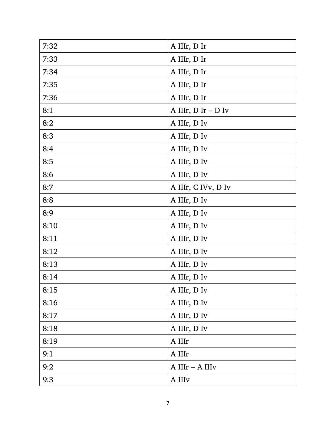| 7:32 | A IIIr, D Ir            |
|------|-------------------------|
| 7:33 | A IIIr, D Ir            |
| 7:34 | A IIIr, D Ir            |
| 7:35 | A IIIr, D Ir            |
| 7:36 | A IIIr, D Ir            |
| 8:1  | A IIIr, $D$ Ir – $D$ Iv |
| 8:2  | A IIIr, D Iv            |
| 8:3  | A IIIr, D Iv            |
| 8:4  | A IIIr, D Iv            |
| 8:5  | A IIIr, D Iv            |
| 8:6  | A IIIr, D Iv            |
| 8:7  | A IIIr, C IVv, D Iv     |
| 8:8  | A IIIr, D Iv            |
| 8:9  | A IIIr, D Iv            |
| 8:10 | A IIIr, D Iv            |
| 8:11 | A IIIr, D Iv            |
| 8:12 | A IIIr, D Iv            |
| 8:13 | A IIIr, D Iv            |
| 8:14 | A IIIr, D Iv            |
| 8:15 | A IIIr, D Iv            |
| 8:16 | A IIIr, D Iv            |
| 8:17 | A IIIr, D Iv            |
| 8:18 | A IIIr, D Iv            |
| 8:19 | A IIIr                  |
| 9:1  | A IIIr                  |
| 9:2  | A IIIr - A IIIv         |
| 9:3  | A IIIv                  |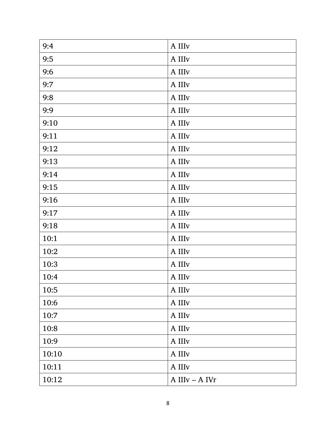| 9:4   | A IIIv         |
|-------|----------------|
| 9:5   | A IIIv         |
| 9:6   | A IIIv         |
| 9:7   | A IIIv         |
| 9:8   | A IIIv         |
| 9:9   | A IIIv         |
| 9:10  | A IIIv         |
| 9:11  | A IIIv         |
| 9:12  | A IIIv         |
| 9:13  | A IIIv         |
| 9:14  | A IIIv         |
| 9:15  | A IIIv         |
| 9:16  | A IIIv         |
| 9:17  | A IIIv         |
| 9:18  | A IIIv         |
| 10:1  | A IIIv         |
| 10:2  | A IIIv         |
| 10:3  | A IIIv         |
| 10:4  | A IIIv         |
| 10:5  | A IIIv         |
| 10:6  | A IIIv         |
| 10:7  | A IIIv         |
| 10:8  | A IIIv         |
| 10:9  | A IIIv         |
| 10:10 | A IIIv         |
| 10:11 | A IIIv         |
| 10:12 | A IIIv - A IVr |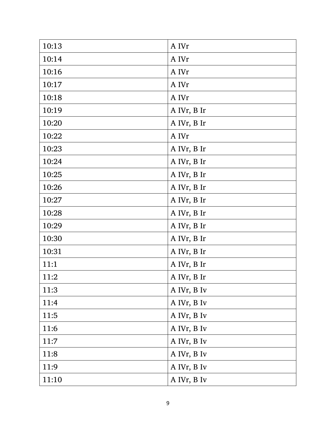| 10:13 | A IVr       |
|-------|-------------|
| 10:14 | A IVr       |
| 10:16 | A IVr       |
| 10:17 | A IVr       |
| 10:18 | A IVr       |
| 10:19 | A IVr, B Ir |
| 10:20 | A IVr, B Ir |
| 10:22 | A IVr       |
| 10:23 | A IVr, B Ir |
| 10:24 | A IVr, B Ir |
| 10:25 | A IVr, B Ir |
| 10:26 | A IVr, B Ir |
| 10:27 | A IVr, B Ir |
| 10:28 | A IVr, B Ir |
| 10:29 | A IVr, B Ir |
| 10:30 | A IVr, B Ir |
| 10:31 | A IVr, B Ir |
| 11:1  | A IVr, B Ir |
| 11:2  | A IVr, B Ir |
| 11:3  | A IVr, B Iv |
| 11:4  | A IVr, B Iv |
| 11:5  | A IVr, B Iv |
| 11:6  | A IVr, B Iv |
| 11:7  | A IVr, B Iv |
| 11:8  | A IVr, B Iv |
| 11:9  | A IVr, B Iv |
| 11:10 | A IVr, B Iv |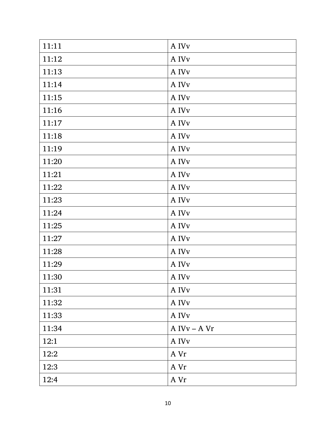| 11:11 | A IV <sub>v</sub>             |
|-------|-------------------------------|
| 11:12 | A IV <sub>v</sub>             |
| 11:13 | A IVv                         |
| 11:14 | A IV <sub>v</sub>             |
| 11:15 | $\boldsymbol{\mathsf{A}}$ IVv |
| 11:16 | A IV <sub>v</sub>             |
| 11:17 | A IVv                         |
| 11:18 | A IVv                         |
| 11:19 | A IVv                         |
| 11:20 | A IVv                         |
| 11:21 | A IVv                         |
| 11:22 | A IVv                         |
| 11:23 | A IVv                         |
| 11:24 | A IVv                         |
| 11:25 | A IVv                         |
| 11:27 | A IVv                         |
| 11:28 | A IVv                         |
| 11:29 | A IVv                         |
| 11:30 | A IV <sub>v</sub>             |
| 11:31 | $\mathbf A$ IVv               |
| 11:32 | A IVv                         |
| 11:33 | A IVv                         |
| 11:34 | A IVv – A Vr                  |
| 12:1  | A IVv                         |
| 12:2  | A Vr                          |
| 12:3  | A Vr                          |
| 12:4  | A Vr                          |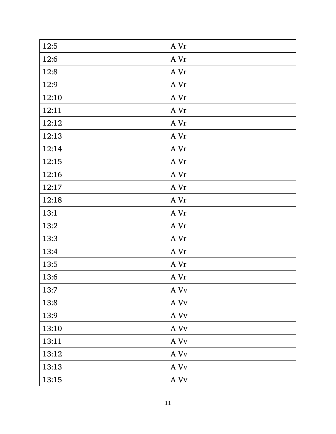| 12:5  | A Vr |
|-------|------|
| 12:6  | A Vr |
| 12:8  | A Vr |
| 12:9  | A Vr |
| 12:10 | A Vr |
| 12:11 | A Vr |
| 12:12 | A Vr |
| 12:13 | A Vr |
| 12:14 | A Vr |
| 12:15 | A Vr |
| 12:16 | A Vr |
| 12:17 | A Vr |
| 12:18 | A Vr |
| 13:1  | A Vr |
| 13:2  | A Vr |
| 13:3  | A Vr |
| 13:4  | A Vr |
| 13:5  | A Vr |
| 13:6  | A Vr |
| 13:7  | A Vv |
| 13:8  | A Vv |
| 13:9  | A Vv |
| 13:10 | A Vv |
| 13:11 | A Vv |
| 13:12 | A Vv |
| 13:13 | A Vv |
| 13:15 | A Vv |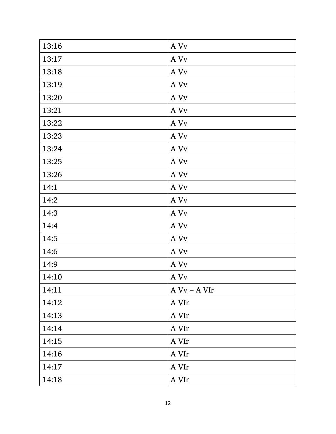| 13:16 | A Vv                               |
|-------|------------------------------------|
| 13:17 | A Vv                               |
| 13:18 | A Vv                               |
| 13:19 | A Vv                               |
| 13:20 | A Vv                               |
| 13:21 | A Vv                               |
| 13:22 | A Vv                               |
| 13:23 | A Vv                               |
| 13:24 | A Vv                               |
| 13:25 | A Vv                               |
| 13:26 | A Vv                               |
| 14:1  | $\,$ A $\,$ Vv $\,$                |
| 14:2  | $\mathbf{A}\ \mathbf{V}\mathbf{v}$ |
| 14:3  | A Vv                               |
| 14:4  | A Vv                               |
| 14:5  | A Vv                               |
| 14:6  | A Vv                               |
| 14:9  | A Vv                               |
| 14:10 | A Vv                               |
| 14:11 | $A Vv - A VIr$                     |
| 14:12 | A VIr                              |
| 14:13 | A VIr                              |
| 14:14 | A VIr                              |
| 14:15 | A VIr                              |
| 14:16 | A VIr                              |
| 14:17 | A VIr                              |
| 14:18 | A VIr                              |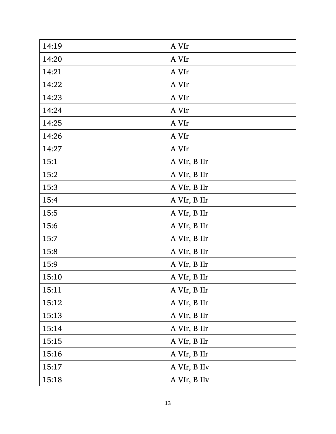| 14:19 | A VIr        |
|-------|--------------|
| 14:20 | A VIr        |
| 14:21 | A VIr        |
| 14:22 | A VIr        |
| 14:23 | A VIr        |
| 14:24 | A VIr        |
| 14:25 | A VIr        |
| 14:26 | A VIr        |
| 14:27 | A VIr        |
| 15:1  | A VIr, B IIr |
| 15:2  | A VIr, B IIr |
| 15:3  | A VIr, B IIr |
| 15:4  | A VIr, B IIr |
| 15:5  | A VIr, B IIr |
| 15:6  | A VIr, B IIr |
| 15:7  | A VIr, B IIr |
| 15:8  | A VIr, B IIr |
| 15:9  | A VIr, B IIr |
| 15:10 | A VIr, B IIr |
| 15:11 | A VIr, B IIr |
| 15:12 | A VIr, B IIr |
| 15:13 | A VIr, B IIr |
| 15:14 | A VIr, B IIr |
| 15:15 | A VIr, B IIr |
| 15:16 | A VIr, B IIr |
| 15:17 | A VIr, B IIv |
| 15:18 | A VIr, B IIv |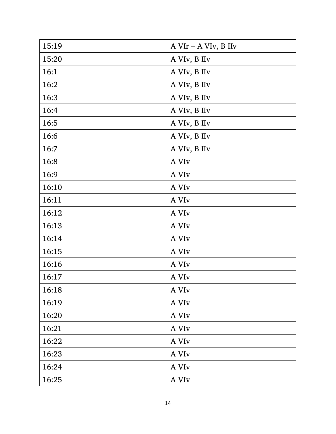| 15:19 | $A$ VIr – A VIv, B IIv |
|-------|------------------------|
| 15:20 | A VIv, B IIv           |
| 16:1  | A VIv, B IIv           |
| 16:2  | A VIv, B IIv           |
| 16:3  | A VIv, B IIv           |
| 16:4  | A VIv, B IIv           |
| 16:5  | A VIv, B IIv           |
| 16:6  | A VIv, B IIv           |
| 16:7  | A VIv, B IIv           |
| 16:8  | A VI <sub>v</sub>      |
| 16:9  | A VI <sub>v</sub>      |
| 16:10 | A VI <sub>v</sub>      |
| 16:11 | A VI <sub>v</sub>      |
| 16:12 | A VI <sub>v</sub>      |
| 16:13 | A VI <sub>v</sub>      |
| 16:14 | A VI <sub>v</sub>      |
| 16:15 | A VI <sub>v</sub>      |
| 16:16 | A VI <sub>v</sub>      |
| 16:17 | A VI <sub>v</sub>      |
| 16:18 | A VI <sub>v</sub>      |
| 16:19 | A VI <sub>v</sub>      |
| 16:20 | A VI <sub>v</sub>      |
| 16:21 | A VI <sub>v</sub>      |
| 16:22 | A VI <sub>v</sub>      |
| 16:23 | A VI <sub>v</sub>      |
| 16:24 | A VI <sub>v</sub>      |
| 16:25 | A VI <sub>v</sub>      |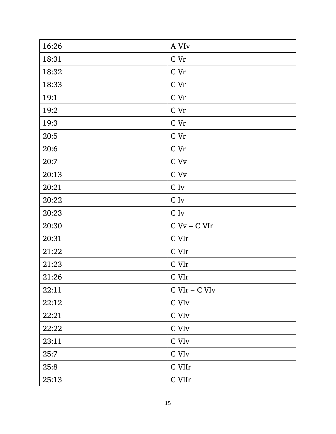| 16:26 | A VI <sub>v</sub>       |
|-------|-------------------------|
| 18:31 | C Vr                    |
| 18:32 | C Vr                    |
| 18:33 | C Vr                    |
| 19:1  | C Vr                    |
| 19:2  | C Vr                    |
| 19:3  | C Vr                    |
| 20:5  | C Vr                    |
| 20:6  | C Vr                    |
| 20:7  | C Vv                    |
| 20:13 | C Vv                    |
| 20:21 | $C$ Iv                  |
| 20:22 | C Iv                    |
| 20:23 | $\mathrm{C}\:\text{Iv}$ |
| 20:30 | $C$ Vv – $C$ VIr        |
| 20:31 | C VIr                   |
| 21:22 | C VIr                   |
| 21:23 | $\mbox{C VIr}$          |
| 21:26 | C VIr                   |
| 22:11 | $C$ VI $r$ – $C$ VI $v$ |
| 22:12 | C VI <sub>v</sub>       |
| 22:21 | C VI <sub>v</sub>       |
| 22:22 | C VI <sub>v</sub>       |
| 23:11 | C VI <sub>v</sub>       |
| 25:7  | C VI <sub>v</sub>       |
| 25:8  | C VIIr                  |
| 25:13 | C VIIr                  |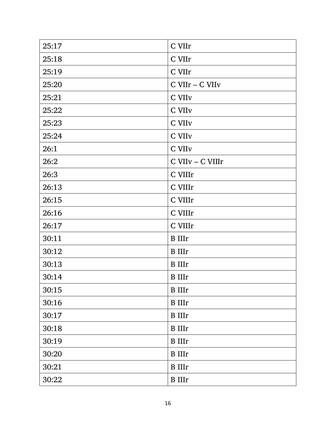| 25:17 | C VIIr             |
|-------|--------------------|
| 25:18 | C VIIr             |
| 25:19 | C VIIr             |
| 25:20 | C VIIr - C VIIv    |
| 25:21 | C VII <sub>v</sub> |
| 25:22 | C VII <sub>v</sub> |
| 25:23 | C VII <sub>v</sub> |
| 25:24 | C VII <sub>v</sub> |
| 26:1  | C VIIv             |
| 26:2  | C VIIv - C VIIIr   |
| 26:3  | C VIIIr            |
| 26:13 | C VIIIr            |
| 26:15 | C VIIIr            |
| 26:16 | C VIIIr            |
| 26:17 | C VIIIr            |
| 30:11 | <b>B</b> IIIr      |
| 30:12 | <b>B</b> IIIr      |
| 30:13 | <b>B</b> IIIr      |
| 30:14 | <b>B</b> IIIr      |
| 30:15 | <b>B</b> IIIr      |
| 30:16 | <b>B</b> IIIr      |
| 30:17 | <b>B</b> IIIr      |
| 30:18 | <b>B</b> IIIr      |
| 30:19 | <b>B</b> IIIr      |
| 30:20 | <b>B</b> IIIr      |
| 30:21 | <b>B</b> IIIr      |
| 30:22 | <b>B</b> IIIr      |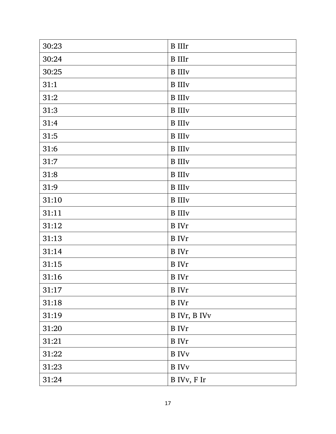| 30:23 | <b>B</b> IIIr             |
|-------|---------------------------|
| 30:24 | <b>B</b> IIIr             |
| 30:25 | <b>B</b> III <sub>V</sub> |
| 31:1  | <b>B</b> III <sub>V</sub> |
| 31:2  | <b>B</b> III <sub>V</sub> |
| 31:3  | <b>B</b> III <sub>V</sub> |
| 31:4  | <b>B</b> III <sub>V</sub> |
| 31:5  | <b>B</b> III <sub>V</sub> |
| 31:6  | <b>B</b> IIIv             |
| 31:7  | <b>B</b> IIIv             |
| 31:8  | <b>B</b> III <sub>V</sub> |
| 31:9  | <b>B</b> III <sub>V</sub> |
| 31:10 | <b>B</b> III <sub>V</sub> |
| 31:11 | <b>B</b> IIIv             |
| 31:12 | <b>B</b> IVr              |
| 31:13 | <b>B</b> IVr              |
| 31:14 | <b>B</b> IVr              |
| 31:15 | <b>B</b> IVr              |
| 31:16 | <b>B</b> IVr              |
| 31:17 | <b>B</b> IVr              |
| 31:18 | <b>B</b> IVr              |
| 31:19 | B IVr, B IVv              |
| 31:20 | <b>B</b> IVr              |
| 31:21 | <b>B</b> IVr              |
| 31:22 | <b>B</b> IVv              |
| 31:23 | <b>B</b> IV <sub>v</sub>  |
| 31:24 | B IVv, F Ir               |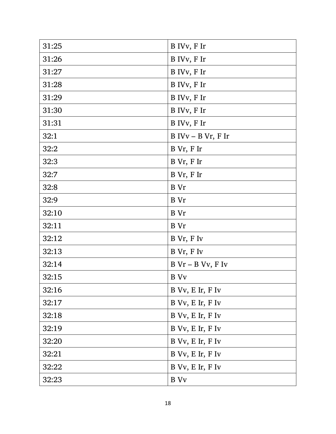| 31:25 | B IVv, F Ir             |
|-------|-------------------------|
| 31:26 | B IVv, F Ir             |
| 31:27 | B IVv, F Ir             |
| 31:28 | B IVv, F Ir             |
| 31:29 | B IVv, F Ir             |
| 31:30 | B IVv, F Ir             |
| 31:31 | B IVv, F Ir             |
| 32:1  | $B IVv - B Vr$ , F Ir   |
| 32:2  | B Vr, F Ir              |
| 32:3  | B Vr, F Ir              |
| 32:7  | B Vr, F Ir              |
| 32:8  | B Vr                    |
| 32:9  | B Vr                    |
| 32:10 | B Vr                    |
| 32:11 | B Vr                    |
| 32:12 | B Vr, F Iv              |
| 32:13 | B Vr, F Iv              |
| 32:14 | $B Vr - B Vv$ , F Iv    |
| 32:15 | <b>B</b> V <sub>v</sub> |
| 32:16 | B Vv, E Ir, F Iv        |
| 32:17 | B Vv, E Ir, F Iv        |
| 32:18 | B Vv, E Ir, F Iv        |
| 32:19 | B Vv, E Ir, F Iv        |
| 32:20 | B Vv, E Ir, F Iv        |
| 32:21 | B Vv, E Ir, F Iv        |
| 32:22 | B Vv, E Ir, F Iv        |
| 32:23 | <b>B</b> Vv             |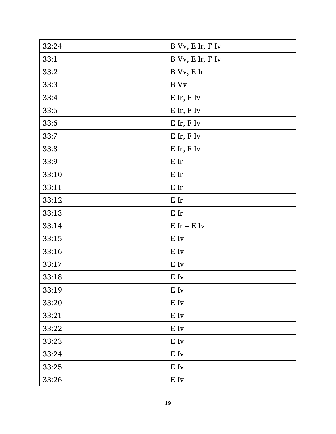| 32:24 | B Vv, E Ir, F Iv           |
|-------|----------------------------|
| 33:1  | B Vv, E Ir, F Iv           |
| 33:2  | B Vv, E Ir                 |
| 33:3  | B Vv                       |
| 33:4  | E Ir, F Iv                 |
| 33:5  | E Ir, F Iv                 |
| 33:6  | E Ir, F Iv                 |
| 33:7  | E Ir, F Iv                 |
| 33:8  | E Ir, F Iv                 |
| 33:9  | E Ir                       |
| 33:10 | E Ir                       |
| 33:11 | E Ir                       |
| 33:12 | E Ir                       |
| 33:13 | E Ir                       |
| 33:14 | $E$ Ir – $E$ Iv            |
| 33:15 | E Iv                       |
| 33:16 | E Iv                       |
| 33:17 | E Iv                       |
| 33:18 | E Iv                       |
| 33:19 | $\mathbf E$ Iv             |
| 33:20 | $\mathbf E$ Iv             |
| 33:21 | $\mathbf E$ Iv             |
| 33:22 | $\mathbf E$ Iv             |
| 33:23 | E Iv                       |
| 33:24 | $\mathbf E$ Iv             |
| 33:25 | $\mathop{\hbox{\rm E}}$ Iv |
| 33:26 | E Iv                       |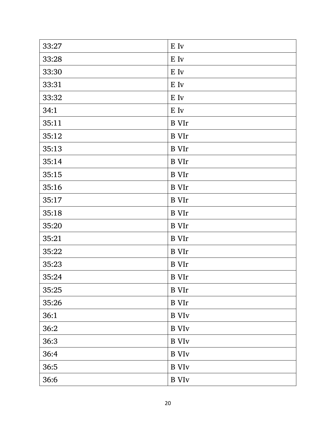| 33:27 | E Iv                     |
|-------|--------------------------|
| 33:28 | E Iv                     |
| 33:30 | E Iv                     |
| 33:31 | E Iv                     |
| 33:32 | E Iv                     |
| 34:1  | E Iv                     |
| 35:11 | <b>B</b> VIr             |
| 35:12 | <b>B</b> VIr             |
| 35:13 | <b>B</b> VIr             |
| 35:14 | <b>B</b> VIr             |
| 35:15 | <b>B</b> VIr             |
| 35:16 | <b>B</b> VIr             |
| 35:17 | <b>B</b> VIr             |
| 35:18 | <b>B</b> VIr             |
| 35:20 | <b>B</b> VIr             |
| 35:21 | <b>B</b> VIr             |
| 35:22 | <b>B</b> VIr             |
| 35:23 | <b>B</b> VIr             |
| 35:24 | <b>B</b> VIr             |
| 35:25 | <b>B</b> VIr             |
| 35:26 | <b>B</b> VIr             |
| 36:1  | <b>B</b> VI <sub>v</sub> |
| 36:2  | <b>B</b> VI <sub>V</sub> |
| 36:3  | <b>B</b> VI <sub>V</sub> |
| 36:4  | <b>B</b> VI <sub>v</sub> |
| 36:5  | <b>B</b> VI <sub>v</sub> |
| 36:6  | <b>B</b> VI <sub>V</sub> |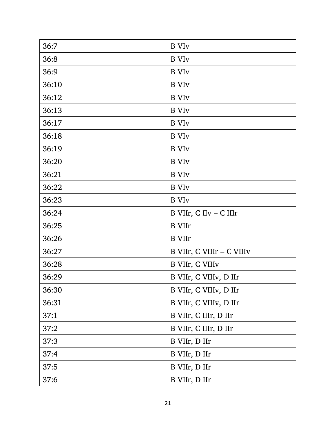| 36:7  | <b>B</b> VI <sub>v</sub>  |
|-------|---------------------------|
| 36:8  | <b>B</b> VI <sub>v</sub>  |
| 36:9  | <b>B</b> VI <sub>v</sub>  |
| 36:10 | <b>B</b> VI <sub>v</sub>  |
| 36:12 | <b>B</b> VI <sub>v</sub>  |
| 36:13 | <b>B</b> VI <sub>v</sub>  |
| 36:17 | <b>B</b> VI <sub>v</sub>  |
| 36:18 | <b>B</b> VI <sub>v</sub>  |
| 36:19 | <b>B</b> VI <sub>v</sub>  |
| 36:20 | <b>B</b> VI <sub>v</sub>  |
| 36:21 | <b>B</b> VI <sub>v</sub>  |
| 36:22 | <b>B</b> VI <sub>v</sub>  |
| 36:23 | <b>B</b> VI <sub>v</sub>  |
| 36:24 | B VIIr, C IIv - C IIIr    |
| 36:25 | <b>B</b> VIIr             |
| 36:26 | <b>B</b> VIIr             |
| 36:27 | B VIIr, C VIIIr - C VIIIv |
| 36:28 | B VIIr, C VIIIv           |
| 36:29 | B VIIr, C VIIIv, D IIr    |
| 36:30 | B VIIr, C VIIIv, D IIr    |
| 36:31 | B VIIr, C VIIIv, D IIr    |
| 37:1  | B VIIr, C IIIr, D IIr     |
| 37:2  | B VIIr, C IIIr, D IIr     |
| 37:3  | B VIIr, D IIr             |
| 37:4  | B VIIr, D IIr             |
| 37:5  | B VIIr, D IIr             |
| 37:6  | B VIIr, D IIr             |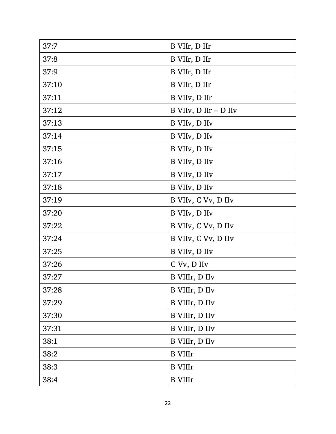| 37:7  | B VIIr, D IIr         |
|-------|-----------------------|
| 37:8  | B VIIr, D IIr         |
| 37:9  | B VIIr, D IIr         |
| 37:10 | B VIIr, D IIr         |
| 37:11 | B VIIv, D IIr         |
| 37:12 | B VIIv, D IIr - D IIv |
| 37:13 | B VIIv, D IIv         |
| 37:14 | B VIIv, D IIv         |
| 37:15 | B VIIv, D IIv         |
| 37:16 | B VIIv, D IIv         |
| 37:17 | B VIIv, D IIv         |
| 37:18 | B VIIv, D IIv         |
| 37:19 | B VIIv, C Vv, D IIv   |
| 37:20 | B VIIv, D IIv         |
| 37:22 | B VIIv, C Vv, D IIv   |
| 37:24 | B VIIv, C Vv, D IIv   |
| 37:25 | B VIIv, D IIv         |
| 37:26 | C Vv, D IIv           |
| 37:27 | B VIIIr, D IIv        |
| 37:28 | B VIIIr, D IIv        |
| 37:29 | B VIIIr, D IIv        |
| 37:30 | B VIIIr, D IIv        |
| 37:31 | B VIIIr, D IIv        |
| 38:1  | B VIIIr, D IIv        |
| 38:2  | <b>B</b> VIIIr        |
| 38:3  | <b>B</b> VIIIr        |
| 38:4  | <b>B</b> VIIIr        |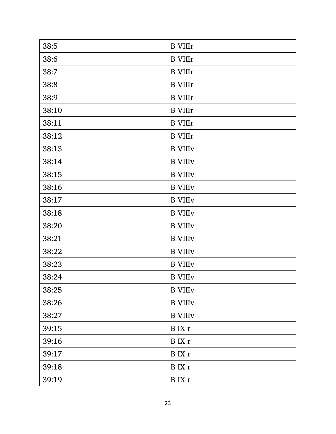| 38:5  | <b>B</b> VIIIr             |
|-------|----------------------------|
| 38:6  | <b>B</b> VIIIr             |
| 38:7  | <b>B</b> VIIIr             |
| 38:8  | <b>B</b> VIIIr             |
| 38:9  | <b>B</b> VIIIr             |
| 38:10 | <b>B</b> VIIIr             |
| 38:11 | <b>B</b> VIIIr             |
| 38:12 | <b>B</b> VIIIr             |
| 38:13 | <b>B</b> VIII <sub>V</sub> |
| 38:14 | <b>B</b> VIII <sub>V</sub> |
| 38:15 | <b>B</b> VIII <sub>V</sub> |
| 38:16 | <b>B</b> VIII <sub>V</sub> |
| 38:17 | <b>B</b> VIII <sub>V</sub> |
| 38:18 | <b>B</b> VIII <sub>V</sub> |
| 38:20 | <b>B</b> VIII <sub>V</sub> |
| 38:21 | <b>B</b> VIII <sub>V</sub> |
| 38:22 | <b>B</b> VIII <sub>V</sub> |
| 38:23 | <b>B</b> VIII <sub>V</sub> |
| 38:24 | <b>B</b> VIII <sub>V</sub> |
| 38:25 | <b>B</b> VIII <sub>V</sub> |
| 38:26 | <b>B</b> VIII <sub>V</sub> |
| 38:27 | <b>B</b> VIII <sub>V</sub> |
| 39:15 | B IX r                     |
| 39:16 | B IX r                     |
| 39:17 | B IX r                     |
| 39:18 | B IX r                     |
| 39:19 | B IX r                     |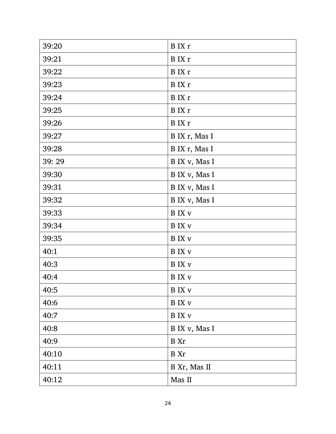| 39:20 | B IX r            |
|-------|-------------------|
| 39:21 | B IX r            |
| 39:22 | B IX r            |
| 39:23 | B IX r            |
| 39:24 | B IX r            |
| 39:25 | B IX r            |
| 39:26 | B IX r            |
| 39:27 | B IX r, Mas I     |
| 39:28 | B IX r, Mas I     |
| 39:29 | B IX v, Mas I     |
| 39:30 | B IX v, Mas I     |
| 39:31 | B IX v, Mas I     |
| 39:32 | B IX v, Mas I     |
| 39:33 | <b>B</b> IX v     |
| 39:34 | B IX v            |
| 39:35 | B IX v            |
| 40:1  | B IX v            |
| 40:3  | B IX v            |
| 40:4  | <b>B</b> IX v     |
| 40:5  | $\, {\bf B}$ IX v |
| 40:6  | B IX v            |
| 40:7  | B IX v            |
| 40:8  | B IX v, Mas I     |
| 40:9  | B Xr              |
| 40:10 | B Xr              |
| 40:11 | B Xr, Mas II      |
| 40:12 | Mas II            |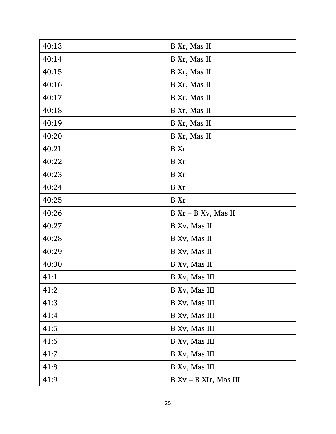| 40:13 | B Xr, Mas II             |
|-------|--------------------------|
| 40:14 | B Xr, Mas II             |
| 40:15 | B Xr, Mas II             |
| 40:16 | B Xr, Mas II             |
| 40:17 | B Xr, Mas II             |
| 40:18 | B Xr, Mas II             |
| 40:19 | B Xr, Mas II             |
| 40:20 | B Xr, Mas II             |
| 40:21 | B Xr                     |
| 40:22 | B Xr                     |
| 40:23 | B Xr                     |
| 40:24 | B Xr                     |
| 40:25 | B Xr                     |
| 40:26 | B Xr - B Xv, Mas II      |
| 40:27 | B Xv, Mas II             |
| 40:28 | B Xv, Mas II             |
| 40:29 | B Xv, Mas II             |
| 40:30 | B Xv, Mas II             |
| 41:1  | B Xv, Mas III            |
| 41:2  | B Xv, Mas III            |
| 41:3  | B Xv, Mas III            |
| 41:4  | B Xv, Mas III            |
| 41:5  | B Xv, Mas III            |
| 41:6  | B Xv, Mas III            |
| 41:7  | B Xv, Mas III            |
| 41:8  | B Xv, Mas III            |
| 41:9  | $B Xv - B XIr$ , Mas III |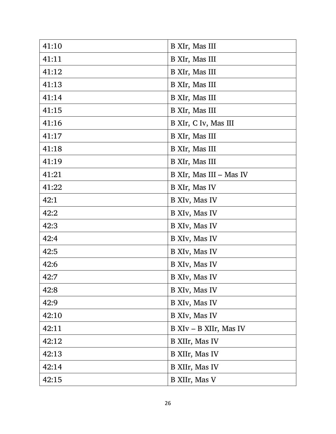| 41:10 | B XIr, Mas III          |
|-------|-------------------------|
| 41:11 | B XIr, Mas III          |
| 41:12 | B XIr, Mas III          |
| 41:13 | B XIr, Mas III          |
| 41:14 | B XIr, Mas III          |
| 41:15 | B XIr, Mas III          |
| 41:16 | B XIr, C Iv, Mas III    |
| 41:17 | B XIr, Mas III          |
| 41:18 | B XIr, Mas III          |
| 41:19 | B XIr, Mas III          |
| 41:21 | B XIr, Mas III – Mas IV |
| 41:22 | B XIr, Mas IV           |
| 42:1  | B XIv, Mas IV           |
| 42:2  | B XIv, Mas IV           |
| 42:3  | B XIv, Mas IV           |
| 42:4  | B XIv, Mas IV           |
| 42:5  | B XIv, Mas IV           |
| 42:6  | B XIv, Mas IV           |
| 42:7  | B XIv, Mas IV           |
| 42:8  | B XIv, Mas IV           |
| 42:9  | B XIv, Mas IV           |
| 42:10 | B XIv, Mas IV           |
| 42:11 | B XIv – B XIIr, Mas IV  |
| 42:12 | B XIIr, Mas IV          |
| 42:13 | B XIIr, Mas IV          |
| 42:14 | B XIIr, Mas IV          |
| 42:15 | B XIIr, Mas V           |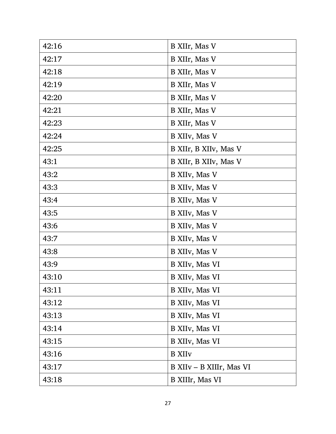| 42:16 | B XIIr, Mas V             |
|-------|---------------------------|
| 42:17 | B XIIr, Mas V             |
| 42:18 | B XIIr, Mas V             |
| 42:19 | B XIIr, Mas V             |
| 42:20 | B XIIr, Mas V             |
| 42:21 | B XIIr, Mas V             |
| 42:23 | B XIIr, Mas V             |
| 42:24 | B XIIv, Mas V             |
| 42:25 | B XIIr, B XIIv, Mas V     |
| 43:1  | B XIIr, B XIIv, Mas V     |
| 43:2  | B XIIv, Mas V             |
| 43:3  | B XIIv, Mas V             |
| 43:4  | B XIIv, Mas V             |
| 43:5  | B XIIv, Mas V             |
| 43:6  | B XIIv, Mas V             |
| 43:7  | B XIIv, Mas V             |
| 43:8  | B XIIv, Mas V             |
| 43:9  | B XIIv, Mas VI            |
| 43:10 | B XIIv, Mas VI            |
| 43:11 | B XIIv, Mas VI            |
| 43:12 | B XIIv, Mas VI            |
| 43:13 | B XIIv, Mas VI            |
| 43:14 | B XIIv, Mas VI            |
| 43:15 | B XIIv, Mas VI            |
| 43:16 | <b>B</b> XII <sub>V</sub> |
| 43:17 | B XIIv – B XIIIr, Mas VI  |
| 43:18 | B XIIIr, Mas VI           |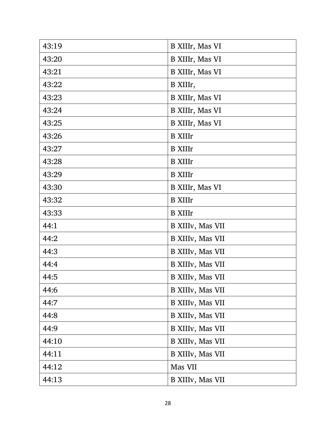| 43:19 | B XIIIr, Mas VI  |
|-------|------------------|
| 43:20 | B XIIIr, Mas VI  |
| 43:21 | B XIIIr, Mas VI  |
| 43:22 | B XIIIr,         |
| 43:23 | B XIIIr, Mas VI  |
| 43:24 | B XIIIr, Mas VI  |
| 43:25 | B XIIIr, Mas VI  |
| 43:26 | <b>B</b> XIIIr   |
| 43:27 | <b>B</b> XIIIr   |
| 43:28 | <b>B</b> XIIIr   |
| 43:29 | <b>B</b> XIIIr   |
| 43:30 | B XIIIr, Mas VI  |
| 43:32 | <b>B</b> XIIIr   |
| 43:33 | <b>B</b> XIIIr   |
| 44:1  | B XIIIv, Mas VII |
| 44:2  | B XIIIv, Mas VII |
| 44:3  | B XIIIv, Mas VII |
| 44:4  | B XIIIv, Mas VII |
| 44:5  | B XIIIv, Mas VII |
| 44:6  | B XIIIv, Mas VII |
| 44:7  | B XIIIv, Mas VII |
| 44:8  | B XIIIv, Mas VII |
| 44:9  | B XIIIv, Mas VII |
| 44:10 | B XIIIv, Mas VII |
| 44:11 | B XIIIv, Mas VII |
| 44:12 | Mas VII          |
| 44:13 | B XIIIv, Mas VII |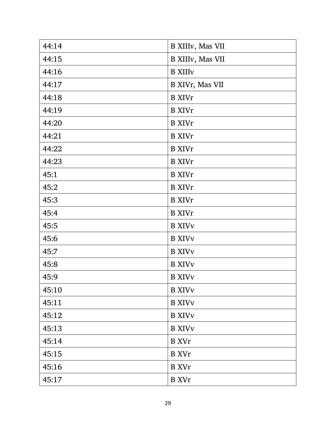| 44:14 | B XIIIv, Mas VII           |
|-------|----------------------------|
| 44:15 | B XIIIv, Mas VII           |
| 44:16 | <b>B</b> XIII <sub>V</sub> |
| 44:17 | B XIVr, Mas VII            |
| 44:18 | <b>B</b> XIVr              |
| 44:19 | <b>B</b> XIVr              |
| 44:20 | <b>B</b> XIVr              |
| 44:21 | <b>B</b> XIVr              |
| 44:22 | <b>B</b> XIVr              |
| 44:23 | <b>B</b> XIVr              |
| 45:1  | <b>B</b> XIVr              |
| 45:2  | <b>B</b> XIVr              |
| 45:3  | <b>B</b> XIVr              |
| 45:4  | <b>B</b> XIVr              |
| 45:5  | <b>B</b> XIV <sub>V</sub>  |
| 45:6  | <b>B</b> XIV <sub>V</sub>  |
| 45:7  | <b>B XIVv</b>              |
| 45:8  | <b>B XIVv</b>              |
| 45:9  | <b>B XIVv</b>              |
| 45:10 | <b>B XIVv</b>              |
| 45:11 | <b>B XIVv</b>              |
| 45:12 | <b>B XIVv</b>              |
| 45:13 | <b>B</b> XIV <sub>V</sub>  |
| 45:14 | <b>B</b> XVr               |
| 45:15 | <b>B</b> XVr               |
| 45:16 | <b>B</b> XVr               |
| 45:17 | <b>B</b> XVr               |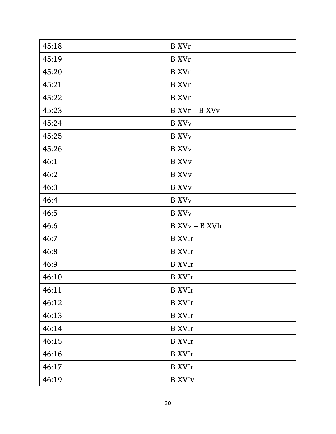| 45:18 | <b>B</b> XVr             |
|-------|--------------------------|
| 45:19 | <b>B</b> XVr             |
| 45:20 | <b>B</b> XVr             |
| 45:21 | <b>B</b> XVr             |
| 45:22 | <b>B</b> XVr             |
| 45:23 | B XVr – B XVv            |
| 45:24 | <b>B</b> XV <sub>V</sub> |
| 45:25 | <b>B</b> XV <sub>V</sub> |
| 45:26 | <b>B</b> XV <sub>V</sub> |
| 46:1  | <b>B</b> XV <sub>V</sub> |
| 46:2  | <b>B</b> XV <sub>V</sub> |
| 46:3  | <b>B</b> XV <sub>V</sub> |
| 46:4  | <b>B</b> XV <sub>V</sub> |
| 46:5  | <b>B</b> XV <sub>V</sub> |
| 46:6  | B XVv – B XVIr           |
| 46:7  | <b>B</b> XVIr            |
| 46:8  | <b>B</b> XVIr            |
| 46:9  | <b>B</b> XVIr            |
| 46:10 | <b>B</b> XVIr            |
| 46:11 | <b>B</b> XVIr            |
| 46:12 | <b>B</b> XVIr            |
| 46:13 | <b>B</b> XVIr            |
| 46:14 | <b>B</b> XVIr            |
| 46:15 | <b>B</b> XVIr            |
|       |                          |
| 46:16 | <b>B</b> XVIr            |
| 46:17 | <b>B</b> XVIr            |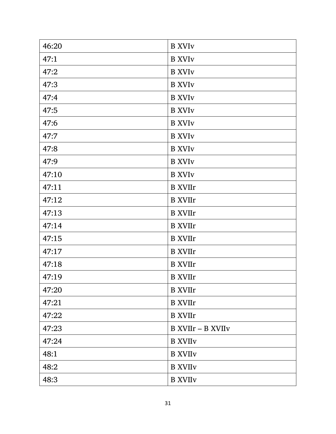| 46:20 | <b>B</b> XVI <sub>V</sub>  |
|-------|----------------------------|
| 47:1  | <b>B</b> XVI <sub>V</sub>  |
| 47:2  | <b>B</b> XVI <sub>V</sub>  |
| 47:3  | <b>B</b> XVI <sub>V</sub>  |
| 47:4  | <b>B</b> XVI <sub>V</sub>  |
| 47:5  | <b>B</b> XVI <sub>V</sub>  |
| 47:6  | <b>B</b> XVI <sub>V</sub>  |
| 47:7  | <b>B</b> XVI <sub>V</sub>  |
| 47:8  | <b>B</b> XVI <sub>V</sub>  |
| 47:9  | <b>B</b> XVI <sub>V</sub>  |
| 47:10 | <b>B</b> XVI <sub>V</sub>  |
| 47:11 | <b>B</b> XVIIr             |
| 47:12 | <b>B</b> XVIIr             |
| 47:13 | <b>B</b> XVIIr             |
| 47:14 | <b>B</b> XVIIr             |
| 47:15 | <b>B</b> XVIIr             |
| 47:17 | <b>B</b> XVIIr             |
| 47:18 | <b>B</b> XVIIr             |
| 47:19 | <b>B</b> XVIIr             |
| 47:20 | <b>B</b> XVIIr             |
| 47:21 | <b>B</b> XVIIr             |
| 47:22 | <b>B</b> XVIIr             |
| 47:23 | B XVIIr - B XVIIv          |
| 47:24 | <b>B XVIIv</b>             |
| 48:1  | <b>B</b> XVII <sub>V</sub> |
| 48:2  | <b>B</b> XVII <sub>V</sub> |
| 48:3  | <b>B</b> XVII <sub>V</sub> |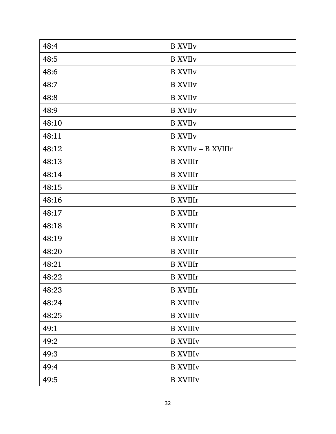| 48:4  | <b>B XVIIv</b>             |
|-------|----------------------------|
| 48:5  | <b>B</b> XVII <sub>V</sub> |
| 48:6  | <b>B</b> XVII <sub>V</sub> |
| 48:7  | <b>B</b> XVII <sub>V</sub> |
| 48:8  | <b>B XVIIv</b>             |
| 48:9  | <b>B</b> XVII <sub>V</sub> |
| 48:10 | <b>B XVIIv</b>             |
| 48:11 | <b>B XVIIv</b>             |
| 48:12 | <b>B XVIIv - B XVIIIr</b>  |
| 48:13 | <b>B</b> XVIIIr            |
| 48:14 | <b>B</b> XVIIIr            |
| 48:15 | <b>B</b> XVIIIr            |
| 48:16 | <b>B</b> XVIIIr            |
| 48:17 | <b>B</b> XVIIIr            |
| 48:18 | <b>B</b> XVIIIr            |
| 48:19 | <b>B</b> XVIIIr            |
| 48:20 | <b>B</b> XVIIIr            |
| 48:21 | <b>B</b> XVIIIr            |
| 48:22 | <b>B</b> XVIIIr            |
| 48:23 | <b>B</b> XVIIIr            |
| 48:24 | <b>B XVIIIv</b>            |
| 48:25 | <b>B XVIIIv</b>            |
| 49:1  | <b>B XVIIIv</b>            |
| 49:2  | <b>B XVIIIv</b>            |
| 49:3  | <b>B XVIIIv</b>            |
| 49:4  | <b>B XVIIIv</b>            |
| 49:5  | <b>B XVIIIv</b>            |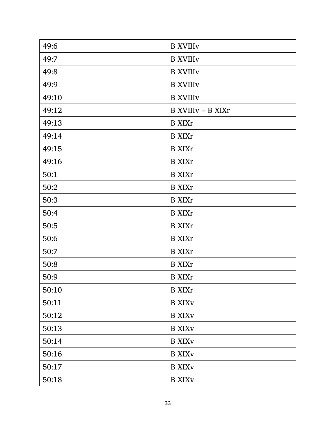| 49:6  | <b>B XVIIIv</b>           |
|-------|---------------------------|
| 49:7  | <b>B XVIIIv</b>           |
| 49:8  | <b>B XVIIIv</b>           |
| 49:9  | <b>B XVIIIv</b>           |
| 49:10 | <b>B XVIIIv</b>           |
| 49:12 | B XVIIIv - B XIXr         |
| 49:13 | <b>B</b> XIXr             |
| 49:14 | <b>B</b> XIXr             |
| 49:15 | <b>B</b> XIXr             |
| 49:16 | <b>B</b> XIXr             |
| 50:1  | <b>B</b> XIXr             |
| 50:2  | <b>B</b> XIXr             |
| 50:3  | <b>B</b> XIXr             |
| 50:4  | <b>B</b> XIXr             |
| 50:5  | <b>B</b> XIXr             |
| 50:6  | <b>B</b> XIXr             |
| 50:7  | <b>B</b> XIXr             |
| 50:8  | <b>B</b> XIXr             |
| 50:9  | <b>B</b> XIXr             |
| 50:10 | <b>B</b> XIXr             |
| 50:11 | <b>B</b> XIX <sub>V</sub> |
| 50:12 | <b>B</b> XIX <sub>V</sub> |
| 50:13 | <b>B</b> XIX <sub>V</sub> |
| 50:14 | <b>B</b> XIX <sub>V</sub> |
| 50:16 | <b>B</b> XIX <sub>V</sub> |
| 50:17 | <b>B</b> XIX <sub>V</sub> |
| 50:18 | <b>B</b> XIX <sub>V</sub> |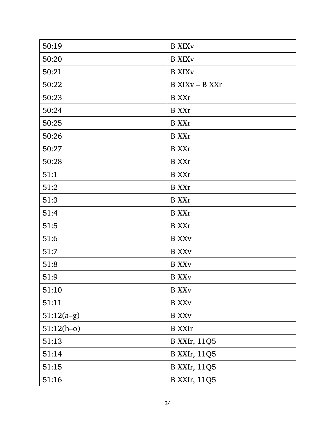| 50:19        | <b>B XIXV</b>             |
|--------------|---------------------------|
| 50:20        | <b>B</b> XIX <sub>V</sub> |
| 50:21        | <b>B XIXv</b>             |
| 50:22        | B XIXv - B XXr            |
| 50:23        | <b>B</b> XXr              |
| 50:24        | <b>B</b> XXr              |
| 50:25        | <b>B</b> XXr              |
| 50:26        | <b>B</b> XXr              |
| 50:27        | <b>B</b> XXr              |
| 50:28        | <b>B</b> XXr              |
| 51:1         | <b>B</b> XXr              |
| 51:2         | <b>B</b> XXr              |
| 51:3         | <b>B</b> XXr              |
| 51:4         | <b>B</b> XXr              |
| 51:5         | <b>B</b> XXr              |
| 51:6         | <b>B</b> XX <sub>V</sub>  |
| 51:7         | <b>B</b> XX <sub>V</sub>  |
| 51:8         | <b>B</b> XX <sub>V</sub>  |
| 51:9         | <b>B</b> XX <sub>V</sub>  |
| 51:10        | <b>B</b> XX <sub>V</sub>  |
| 51:11        | <b>B</b> XX <sub>V</sub>  |
| $51:12(a-g)$ | <b>B</b> XX <sub>V</sub>  |
| $51:12(h-0)$ | <b>B</b> XXIr             |
| 51:13        | <b>B</b> XXIr, 11Q5       |
| 51:14        | <b>B XXIr, 11Q5</b>       |
| 51:15        | <b>B XXIr, 11Q5</b>       |
| 51:16        | <b>B XXIr, 11Q5</b>       |